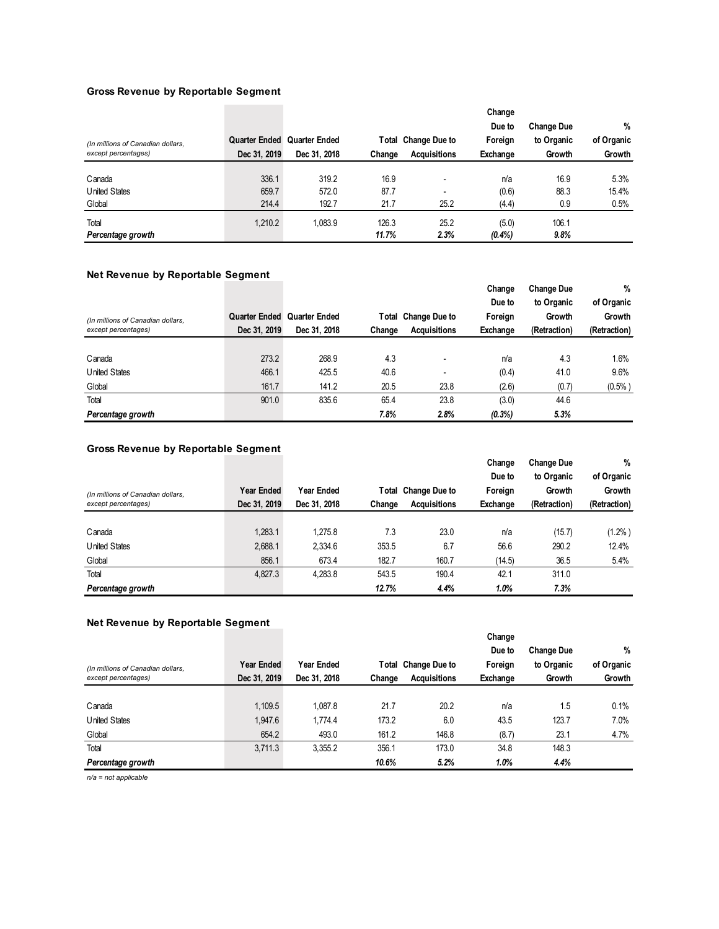## **Gross Revenue by Reportable Segment**

|                                   |                      |               |        |                     | Change   |                   |            |
|-----------------------------------|----------------------|---------------|--------|---------------------|----------|-------------------|------------|
|                                   |                      |               |        |                     | Due to   | <b>Change Due</b> | $\%$       |
| (In millions of Canadian dollars, | <b>Quarter Ended</b> | Quarter Ended |        | Total Change Due to | Foreign  | to Organic        | of Organic |
| except percentages)               | Dec 31, 2019         | Dec 31, 2018  | Change | <b>Acquisitions</b> | Exchange | Growth            | Growth     |
|                                   |                      |               |        |                     |          |                   |            |
| Canada                            | 336.1                | 319.2         | 16.9   |                     | n/a      | 16.9              | 5.3%       |
| <b>United States</b>              | 659.7                | 572.0         | 87.7   |                     | (0.6)    | 88.3              | 15.4%      |
| Global                            | 214.4                | 192.7         | 21.7   | 25.2                | (4.4)    | 0.9               | 0.5%       |
| Total                             | 1,210.2              | 1,083.9       | 126.3  | 25.2                | (5.0)    | 106.1             |            |
| Percentage growth                 |                      |               | 11.7%  | 2.3%                | (0.4%    | 9.8%              |            |

# **Net Revenue by Reportable Segment**

| -<br>. .<br>(In millions of Canadian dollars,<br>except percentages) | -<br>Dec 31, 2019 | Quarter Ended Quarter Ended<br>Dec 31, 2018 | Change | Total Change Due to<br><b>Acquisitions</b> | Change<br>Due to<br>Foreign<br>Exchange | <b>Change Due</b><br>to Organic<br>Growth<br>(Retraction) | %<br>of Organic<br>Growth<br>(Retraction) |
|----------------------------------------------------------------------|-------------------|---------------------------------------------|--------|--------------------------------------------|-----------------------------------------|-----------------------------------------------------------|-------------------------------------------|
|                                                                      |                   |                                             |        |                                            |                                         |                                                           |                                           |
| Canada                                                               | 273.2             | 268.9                                       | 4.3    |                                            | n/a                                     | 4.3                                                       | 1.6%                                      |
| United States                                                        | 466.1             | 425.5                                       | 40.6   | $\overline{\phantom{0}}$                   | (0.4)                                   | 41.0                                                      | 9.6%                                      |
| Global                                                               | 161.7             | 141.2                                       | 20.5   | 23.8                                       | (2.6)                                   | (0.7)                                                     | (0.5%                                     |
| Total                                                                | 901.0             | 835.6                                       | 65.4   | 23.8                                       | (3.0)                                   | 44.6                                                      |                                           |
| Percentage growth                                                    |                   |                                             | 7.8%   | 2.8%                                       | $(0.3\%)$                               | 5.3%                                                      |                                           |

# **Gross Revenue by Reportable Segment**

|                                   |              |              |        |                     | Change   | <b>Change Due</b> | %            |
|-----------------------------------|--------------|--------------|--------|---------------------|----------|-------------------|--------------|
|                                   |              |              |        |                     | Due to   | to Organic        | of Organic   |
| (In millions of Canadian dollars, | Year Ended   | Year Ended   |        | Total Change Due to | Foreign  | Growth            | Growth       |
| except percentages)               | Dec 31, 2019 | Dec 31, 2018 | Change | <b>Acquisitions</b> | Exchange | (Retraction)      | (Retraction) |
|                                   |              |              |        |                     |          |                   |              |
| Canada                            | 1.283.1      | 1.275.8      | 7.3    | 23.0                | n/a      | (15.7)            | $(1.2\%)$    |
| United States                     | 2,688.1      | 2,334.6      | 353.5  | 6.7                 | 56.6     | 290.2             | 12.4%        |
| Global                            | 856.1        | 673.4        | 182.7  | 160.7               | (14.5)   | 36.5              | 5.4%         |
| Total                             | 4,827.3      | 4,283.8      | 543.5  | 190.4               | 42.1     | 311.0             |              |
| Percentage growth                 |              |              | 12.7%  | 4.4%                | 1.0%     | 7.3%              |              |

## **Net Revenue by Reportable Segment**

|                                   |              |              |        |                     | Change   |                   |            |
|-----------------------------------|--------------|--------------|--------|---------------------|----------|-------------------|------------|
|                                   |              |              |        |                     | Due to   | <b>Change Due</b> | $\%$       |
| (In millions of Canadian dollars, | Year Ended   | Year Ended   |        | Total Change Due to | Foreign  | to Organic        | of Organic |
| except percentages)               | Dec 31, 2019 | Dec 31, 2018 | Change | <b>Acquisitions</b> | Exchange | Growth            | Growth     |
|                                   |              |              |        |                     |          |                   |            |
| Canada                            | 1,109.5      | 1.087.8      | 21.7   | 20.2                | n/a      | 1.5               | 0.1%       |
| United States                     | 1,947.6      | 1.774.4      | 173.2  | 6.0                 | 43.5     | 123.7             | 7.0%       |
| Global                            | 654.2        | 493.0        | 161.2  | 146.8               | (8.7)    | 23.1              | 4.7%       |
| Total                             | 3,711.3      | 3.355.2      | 356.1  | 173.0               | 34.8     | 148.3             |            |
| Percentage growth                 |              |              | 10.6%  | 5.2%                | 1.0%     | 4.4%              |            |

*n/a = not applicable*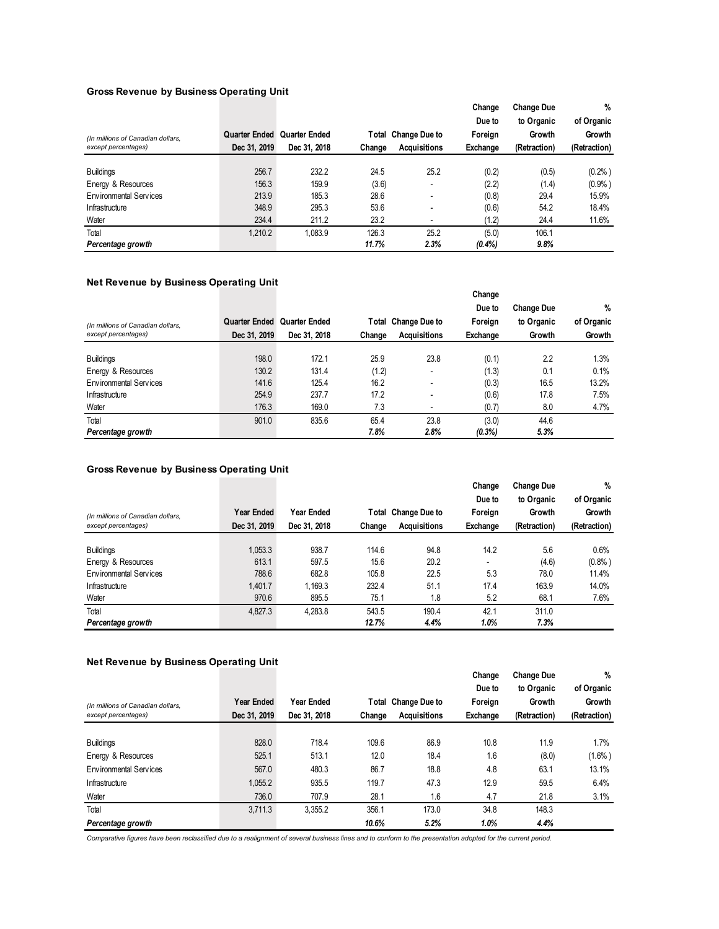#### **Gross Revenue by Business Operating Unit**

|                                   |                             |              |        |                          | Change   | <b>Change Due</b> | %            |
|-----------------------------------|-----------------------------|--------------|--------|--------------------------|----------|-------------------|--------------|
|                                   |                             |              |        |                          | Due to   | to Organic        | of Organic   |
| (In millions of Canadian dollars, | Quarter Ended Quarter Ended |              |        | Total Change Due to      | Foreign  | Growth            | Growth       |
| except percentages)               | Dec 31, 2019                | Dec 31, 2018 | Change | <b>Acquisitions</b>      | Exchange | (Retraction)      | (Retraction) |
|                                   |                             |              |        |                          |          |                   |              |
| <b>Buildings</b>                  | 256.7                       | 232.2        | 24.5   | 25.2                     | (0.2)    | (0.5)             | (0.2% )      |
| Energy & Resources                | 156.3                       | 159.9        | (3.6)  |                          | (2.2)    | (1.4)             | (0.9% )      |
| Environmental Services            | 213.9                       | 185.3        | 28.6   | $\overline{\phantom{a}}$ | (0.8)    | 29.4              | 15.9%        |
| Infrastructure                    | 348.9                       | 295.3        | 53.6   | $\overline{\phantom{0}}$ | (0.6)    | 54.2              | 18.4%        |
| Water                             | 234.4                       | 211.2        | 23.2   | ٠                        | (1.2)    | 24.4              | 11.6%        |
| Total                             | 1.210.2                     | 1,083.9      | 126.3  | 25.2                     | (5.0)    | 106.1             |              |
| Percentage growth                 |                             |              | 11.7%  | 2.3%                     | (0.4%    | 9.8%              |              |

## **Net Revenue by Business Operating Unit**

|                                   |              |                             |        |                          | Change<br>Due to | <b>Change Due</b> | %          |
|-----------------------------------|--------------|-----------------------------|--------|--------------------------|------------------|-------------------|------------|
| (In millions of Canadian dollars, |              | Quarter Ended Quarter Ended |        | Total Change Due to      | Foreign          | to Organic        | of Organic |
| except percentages)               | Dec 31, 2019 | Dec 31, 2018                | Change | <b>Acquisitions</b>      | Exchange         | Growth            | Growth     |
|                                   |              |                             |        |                          |                  |                   |            |
| <b>Buildings</b>                  | 198.0        | 172.1                       | 25.9   | 23.8                     | (0.1)            | 2.2               | 1.3%       |
| Energy & Resources                | 130.2        | 131.4                       | (1.2)  | ٠                        | (1.3)            | 0.1               | 0.1%       |
| Environmental Services            | 141.6        | 125.4                       | 16.2   | $\overline{\phantom{a}}$ | (0.3)            | 16.5              | 13.2%      |
| Infrastructure                    | 254.9        | 237.7                       | 17.2   | $\overline{\phantom{a}}$ | (0.6)            | 17.8              | 7.5%       |
| Water                             | 176.3        | 169.0                       | 7.3    |                          | (0.7)            | 8.0               | 4.7%       |
| Total                             | 901.0        | 835.6                       | 65.4   | 23.8                     | (3.0)            | 44.6              |            |
| Percentage growth                 |              |                             | 7.8%   | 2.8%                     | $(0.3\%)$        | 5.3%              |            |

#### **Gross Revenue by Business Operating Unit**

|                                   |              |              |        |                     | Change   | <b>Change Due</b> | %            |
|-----------------------------------|--------------|--------------|--------|---------------------|----------|-------------------|--------------|
|                                   |              |              |        |                     | Due to   | to Organic        | of Organic   |
| (In millions of Canadian dollars, | Year Ended   | Year Ended   |        | Total Change Due to | Foreign  | Growth            | Growth       |
| except percentages)               | Dec 31, 2019 | Dec 31, 2018 | Change | <b>Acquisitions</b> | Exchange | (Retraction)      | (Retraction) |
|                                   |              |              |        |                     |          |                   |              |
| <b>Buildings</b>                  | 1,053.3      | 938.7        | 114.6  | 94.8                | 14.2     | 5.6               | 0.6%         |
| Energy & Resources                | 613.1        | 597.5        | 15.6   | 20.2                |          | (4.6)             | (0.8% )      |
| Environmental Services            | 788.6        | 682.8        | 105.8  | 22.5                | 5.3      | 78.0              | 11.4%        |
| Infrastructure                    | 1,401.7      | 1,169.3      | 232.4  | 51.1                | 17.4     | 163.9             | 14.0%        |
| Water                             | 970.6        | 895.5        | 75.1   | 1.8                 | 5.2      | 68.1              | 7.6%         |
| Total                             | 4,827.3      | 4.283.8      | 543.5  | 190.4               | 42.1     | 311.0             |              |
| Percentage growth                 |              |              | 12.7%  | 4.4%                | 1.0%     | 7.3%              |              |

#### **Net Revenue by Business Operating Unit**

| (In millions of Canadian dollars,<br>except percentages) | Year Ended<br>Dec 31, 2019 | Year Ended<br>Dec 31, 2018 | Change | Total Change Due to<br><b>Acquisitions</b> | Change<br>Due to<br>Foreign<br>Exchange | <b>Change Due</b><br>to Organic<br>Growth<br>(Retraction) | $\%$<br>of Organic<br>Growth<br>(Retraction) |
|----------------------------------------------------------|----------------------------|----------------------------|--------|--------------------------------------------|-----------------------------------------|-----------------------------------------------------------|----------------------------------------------|
|                                                          |                            |                            |        |                                            |                                         |                                                           |                                              |
| <b>Buildings</b>                                         | 828.0                      | 718.4                      | 109.6  | 86.9                                       | 10.8                                    | 11.9                                                      | 1.7%                                         |
| Energy & Resources                                       | 525.1                      | 513.1                      | 12.0   | 18.4                                       | 1.6                                     | (8.0)                                                     | $(1.6\%)$                                    |
| Environmental Services                                   | 567.0                      | 480.3                      | 86.7   | 18.8                                       | 4.8                                     | 63.1                                                      | 13.1%                                        |
| Infrastructure                                           | 1.055.2                    | 935.5                      | 119.7  | 47.3                                       | 12.9                                    | 59.5                                                      | 6.4%                                         |
| Water                                                    | 736.0                      | 707.9                      | 28.1   | 1.6                                        | 4.7                                     | 21.8                                                      | 3.1%                                         |
| Total                                                    | 3.711.3                    | 3.355.2                    | 356.1  | 173.0                                      | 34.8                                    | 148.3                                                     |                                              |
| Percentage growth                                        |                            |                            | 10.6%  | 5.2%                                       | 1.0%                                    | 4.4%                                                      |                                              |

*Comparative figures have been reclassified due to a realignment of several business lines and to conform to the presentation adopted for the current period.*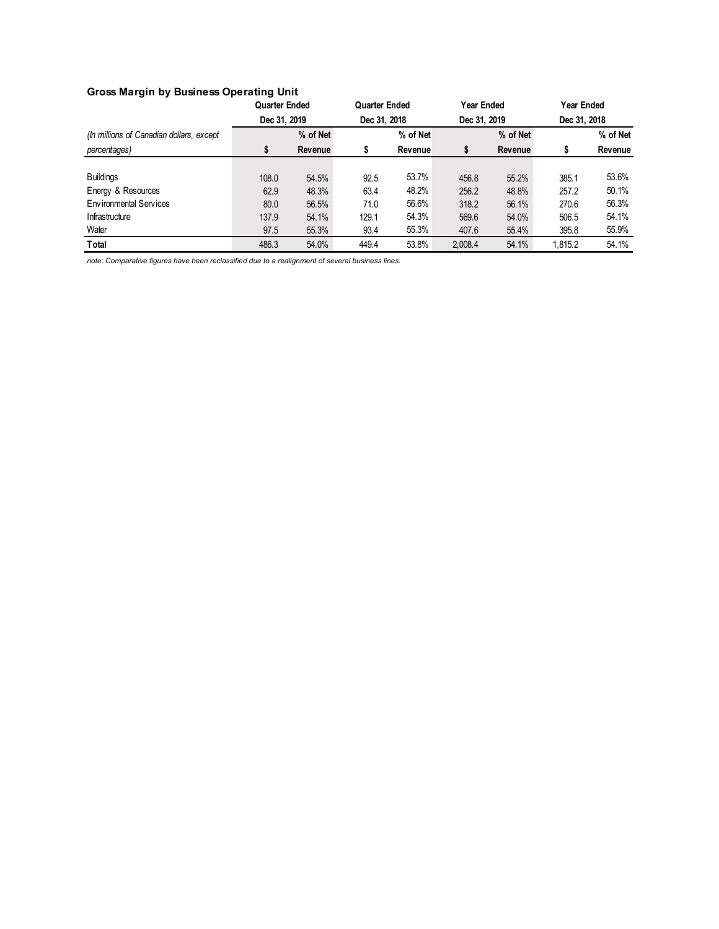# **Gross Margin by Business Operating Unit**

|                                          | <b>Quarter Ended</b> |          |              | <b>Quarter Ended</b> |              | Year Ended | <b>Year Ended</b> |          |
|------------------------------------------|----------------------|----------|--------------|----------------------|--------------|------------|-------------------|----------|
|                                          | Dec 31, 2019         |          | Dec 31, 2018 |                      | Dec 31, 2019 |            | Dec 31, 2018      |          |
| (In millions of Canadian dollars, except |                      | % of Net |              | % of Net             |              | % of Net   |                   | % of Net |
| percentages)                             | \$                   | Revenue  | S            | Revenue              |              | Revenue    |                   | Revenue  |
|                                          |                      |          |              |                      |              |            |                   |          |
| <b>Buildings</b>                         | 108.0                | 54.5%    | 92.5         | 53.7%                | 456.8        | 55.2%      | 385.1             | 53.6%    |
| Energy & Resources                       | 62.9                 | 48.3%    | 63.4         | 48.2%                | 256.2        | 48.8%      | 257.2             | 50.1%    |
| Environmental Services                   | 80.0                 | 56.5%    | 71.0         | 56.6%                | 318.2        | 56.1%      | 270.6             | 56.3%    |
| Infrastructure                           | 137.9                | 54.1%    | 129.1        | 54.3%                | 569.6        | 54.0%      | 506.5             | 54.1%    |
| Water                                    | 97.5                 | 55.3%    | 93.4         | 55.3%                | 407.6        | 55.4%      | 395.8             | 55.9%    |
| Total                                    | 486.3                | 54.0%    | 449.4        | 53.8%                | 2,008.4      | 54.1%      | 1,815.2           | 54.1%    |

*note: Comparative figures have been reclassified due to a realignment of several business lines.*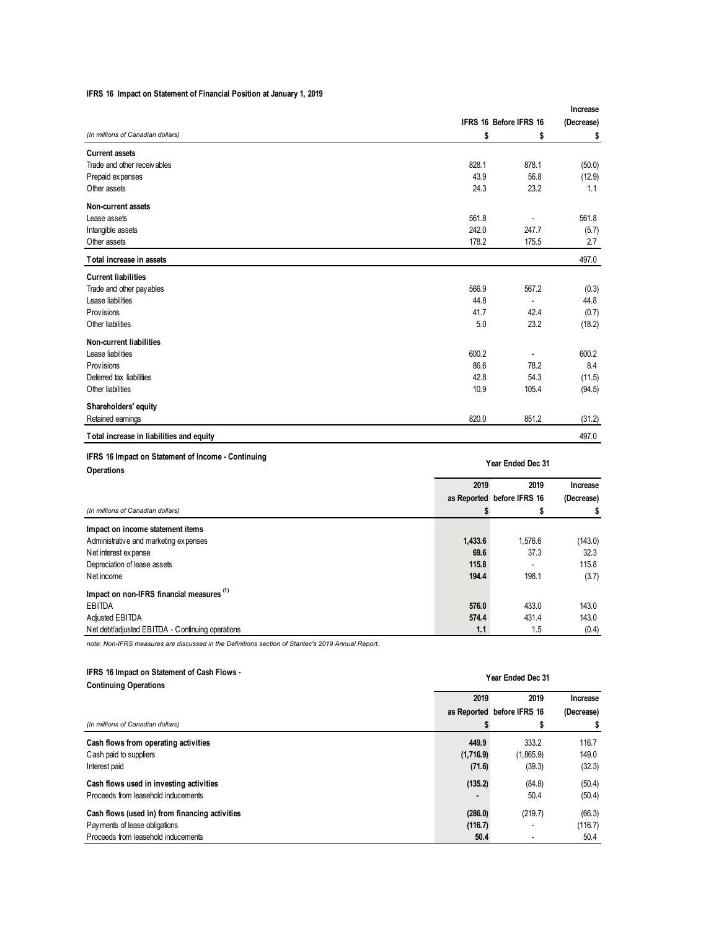#### **IFRS 16 Impact on Statement of Financial Position at January 1, 2019**

|                                          |                        |       | Increase   |  |
|------------------------------------------|------------------------|-------|------------|--|
|                                          | IFRS 16 Before IFRS 16 |       | (Decrease) |  |
| (In millions of Canadian dollars)        | \$                     | \$    | \$         |  |
| <b>Current assets</b>                    |                        |       |            |  |
| Trade and other receivables              | 828.1                  | 878.1 | (50.0)     |  |
| Prepaid expenses                         | 43.9                   | 56.8  | (12.9)     |  |
| Other assets                             | 24.3                   | 23.2  | 1.1        |  |
| Non-current assets                       |                        |       |            |  |
| Lease assets                             | 561.8                  |       | 561.8      |  |
| Intangible assets                        | 242.0                  | 247.7 | (5.7)      |  |
| Other assets                             | 178.2                  | 175.5 | 2.7        |  |
| Total increase in assets                 |                        |       | 497.0      |  |
| <b>Current liabilities</b>               |                        |       |            |  |
| Trade and other pay ables                | 566.9                  | 567.2 | (0.3)      |  |
| Lease liabilities                        | 44.8                   | ٠     | 44.8       |  |
| <b>Provisions</b>                        | 41.7                   | 42.4  | (0.7)      |  |
| Other liabilities                        | 5.0                    | 23.2  | (18.2)     |  |
| Non-current liabilities                  |                        |       |            |  |
| Lease liabilities                        | 600.2                  |       | 600.2      |  |
| <b>Provisions</b>                        | 86.6                   | 78.2  | 8.4        |  |
| Deferred tax liabilities                 | 42.8                   | 54.3  | (11.5)     |  |
| Other liabilities                        | 10.9                   | 105.4 | (94.5)     |  |
| Shareholders' equity                     |                        |       |            |  |
| Retained earnings                        | 820.0                  | 851.2 | (31.2)     |  |
| Total increase in liabilities and equity |                        |       | 497.0      |  |

#### **IFRS 16 Impact on Statement of Income - Continuing Operations**

|                                                      | 2019    | Increase                           |            |
|------------------------------------------------------|---------|------------------------------------|------------|
|                                                      |         | 2019<br>as Reported before IFRS 16 | (Decrease) |
| (In millions of Canadian dollars)                    |         |                                    |            |
|                                                      |         | \$                                 |            |
| Impact on income statement items                     |         |                                    |            |
| Administrative and marketing expenses                | 1,433.6 | 1.576.6                            | (143.0)    |
| Net interest expense                                 | 69.6    | 37.3                               | 32.3       |
| Depreciation of lease assets                         | 115.8   |                                    | 115.8      |
| Net income                                           | 194.4   | 198.1                              | (3.7)      |
| Impact on non-IFRS financial measures <sup>(1)</sup> |         |                                    |            |
| EBITDA                                               | 576.0   | 433.0                              | 143.0      |
| Adjusted EBITDA                                      | 574.4   | 431.4                              | 143.0      |
| Net debt/adjusted EBITDA - Continuing operations     | 1.1     | 1.5                                | (0.4)      |

**Year Ended Dec 31**

*note: Non-IFRS measures are discussed in the Definitions section of Stantec's 2019 Annual Report.* 

#### **IFRS 16 Impact on Statement of Cash Flows -**

| IFRS 16 Impact on Statement of Cash Flows -<br><b>Continuing Operations</b> | Year Ended Dec 31 |                            |            |  |  |
|-----------------------------------------------------------------------------|-------------------|----------------------------|------------|--|--|
|                                                                             | 2019              | 2019                       | Increase   |  |  |
|                                                                             |                   | as Reported before IFRS 16 | (Decrease) |  |  |
| (In millions of Canadian dollars)                                           |                   |                            | \$         |  |  |
| Cash flows from operating activities                                        | 449.9             | 333.2                      | 116.7      |  |  |
| Cash paid to suppliers                                                      | (1,716.9)         | (1,865.9)                  | 149.0      |  |  |
| Interest paid                                                               | (71.6)            | (39.3)                     | (32.3)     |  |  |
| Cash flows used in investing activities                                     | (135.2)           | (84.8)                     | (50.4)     |  |  |
| Proceeds from leasehold inducements                                         |                   | 50.4                       | (50.4)     |  |  |
| Cash flows (used in) from financing activities                              | (286.0)           | (219.7)                    | (66.3)     |  |  |
| Payments of lease obligations                                               | (116.7)           |                            | (116.7)    |  |  |
| Proceeds from leasehold inducements                                         | 50.4              |                            | 50.4       |  |  |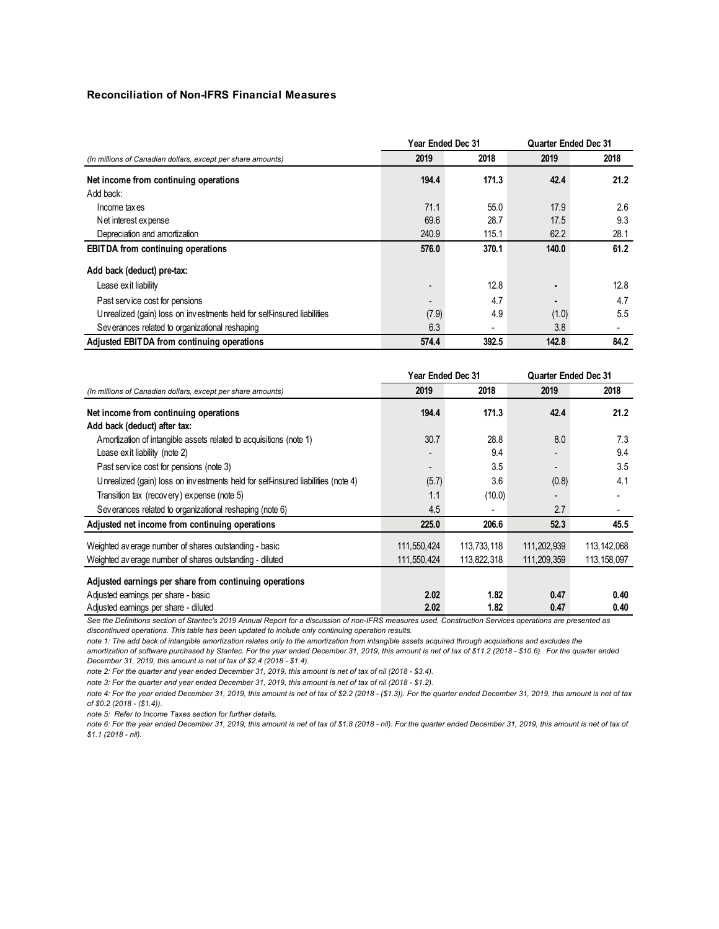#### **Reconciliation of Non-IFRS Financial Measures**

|                                                                         | <b>Year Ended Dec 31</b> |       |                | <b>Quarter Ended Dec 31</b> |  |
|-------------------------------------------------------------------------|--------------------------|-------|----------------|-----------------------------|--|
| (In millions of Canadian dollars, except per share amounts)             | 2019                     | 2018  | 2019           | 2018                        |  |
| Net income from continuing operations                                   | 194.4                    | 171.3 | 42.4           | 21.2                        |  |
| Add back:                                                               |                          |       |                |                             |  |
| Income taxes                                                            | 71.1                     | 55.0  | 17.9           | 2.6                         |  |
| Net interest expense                                                    | 69.6                     | 28.7  | 17.5           | 9.3                         |  |
| Depreciation and amortization                                           | 240.9                    | 115.1 | 62.2           | 28.1                        |  |
| <b>EBITDA</b> from continuing operations                                | 576.0                    | 370.1 | 140.0          | 61.2                        |  |
| Add back (deduct) pre-tax:                                              |                          |       |                |                             |  |
| Lease exit liability                                                    | -                        | 12.8  | $\blacksquare$ | 12.8                        |  |
| Past service cost for pensions                                          |                          | 4.7   | $\blacksquare$ | 4.7                         |  |
| Unrealized (gain) loss on investments held for self-insured liabilities | (7.9)                    | 4.9   | (1.0)          | 5.5                         |  |
| Severances related to organizational reshaping                          | 6.3                      | ۰     | 3.8            |                             |  |
| Adjusted EBITDA from continuing operations                              | 574.4                    | 392.5 | 142.8          | 84.2                        |  |

|                                                                                  | Year Ended Dec 31 |             |                          | <b>Quarter Ended Dec 31</b> |  |
|----------------------------------------------------------------------------------|-------------------|-------------|--------------------------|-----------------------------|--|
| (In millions of Canadian dollars, except per share amounts)                      | 2019              | 2018        | 2019                     | 2018                        |  |
| Net income from continuing operations                                            | 194.4             | 171.3       | 42.4                     | 21.2                        |  |
| Add back (deduct) after tax:                                                     |                   |             |                          |                             |  |
| Amortization of intangible assets related to acquisitions (note 1)               | 30.7              | 28.8        | 8.0                      | 7.3                         |  |
| Lease exit liability (note 2)                                                    |                   | 9.4         |                          | 9.4                         |  |
| Past service cost for pensions (note 3)                                          | $\blacksquare$    | 3.5         | $\overline{\phantom{0}}$ | 3.5                         |  |
| Unrealized (gain) loss on investments held for self-insured liabilities (note 4) | (5.7)             | 3.6         | (0.8)                    | 4.1                         |  |
| Transition tax (recovery) expense (note 5)                                       | 1.1               | (10.0)      | $\overline{\phantom{a}}$ |                             |  |
| Severances related to organizational reshaping (note 6)                          | 4.5               | ۰           | 2.7                      |                             |  |
| Adjusted net income from continuing operations                                   | 225.0             | 206.6       | 52.3                     | 45.5                        |  |
| Weighted average number of shares outstanding - basic                            | 111,550,424       | 113,733,118 | 111,202,939              | 113, 142, 068               |  |
| Weighted average number of shares outstanding - diluted                          | 111,550,424       | 113,822,318 | 111,209,359              | 113, 158, 097               |  |
| Adjusted earnings per share from continuing operations                           |                   |             |                          |                             |  |
| Adjusted earnings per share - basic                                              | 2.02              | 1.82        | 0.47                     | 0.40                        |  |
| Adjusted earnings per share - diluted                                            | 2.02              | 1.82        | 0.47                     | 0.40                        |  |

*See the Definitions section of Stantec's 2019 Annual Report for a discussion of non-IFRS measures used. Construction Services operations are presented as discontinued operations. This table has been updated to include only continuing operation results.*

*note 1: The add back of intangible amortization relates only to the amortization from intangible assets acquired through acquisitions and excludes the* 

*amortization of software purchased by Stantec. For the year ended December 31, 2019, this amount is net of tax of \$11.2 (2018 - \$10.6). For the quarter ended December 31, 2019, this amount is net of tax of \$2.4 (2018 - \$1.4).*

*note 2: For the quarter and year ended December 31, 2019, this amount is net of tax of nil (2018 - \$3.4).*

*note 3: For the quarter and year ended December 31, 2019, this amount is net of tax of nil (2018 - \$1.2).*

*note 4: For the year ended December 31, 2019, this amount is net of tax of \$2.2 (2018 - (\$1.3)). For the quarter ended December 31, 2019, this amount is net of tax of \$0.2 (2018 - (\$1.4)).* 

*note 5: Refer to Income Taxes section for further details.*

note 6: For the year ended December 31, 2019, this amount is net of tax of \$1.8 (2018 - nil). For the quarter ended December 31, 2019, this amount is net of tax of *\$1.1 (2018 - nil).*